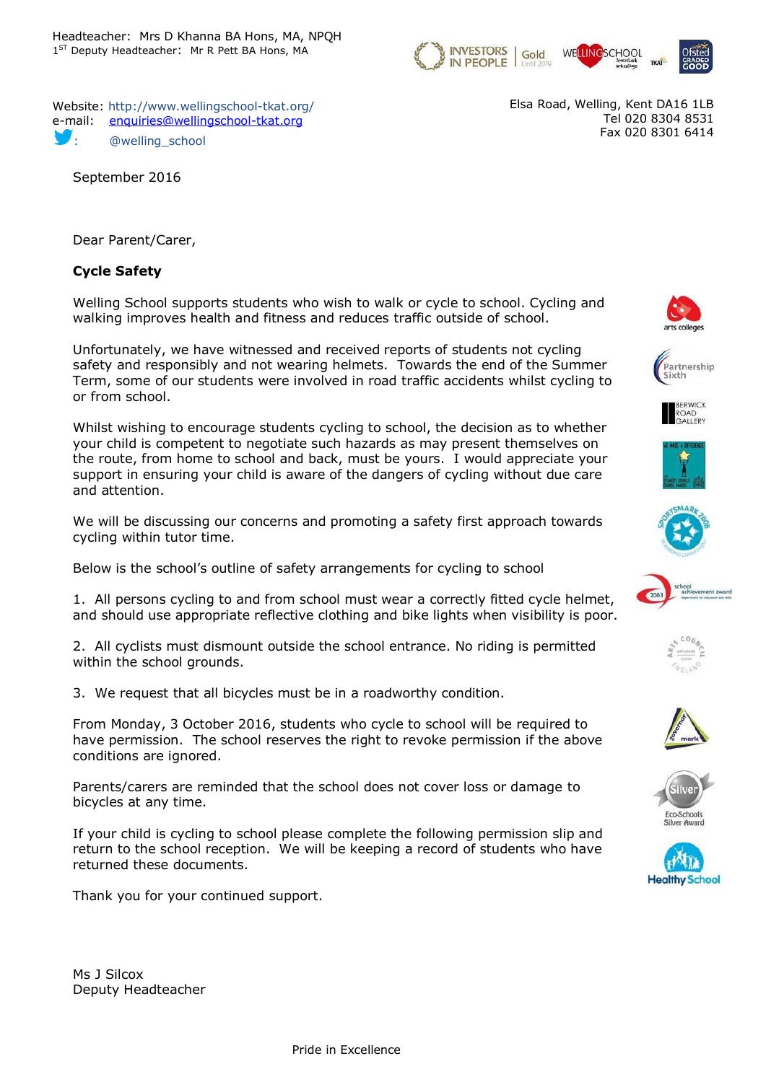

Website: http://www.wellingschool-tkat.org/ e-mail: [enquiries@wellingschool-tkat.org](mailto:enquiries@wellingschool-tkat.org) @welling\_school

September 2016

Elsa Road, Welling, Kent DA16 1LB Tel 020 8304 8531 Fax 020 8301 6414

Dear Parent/Carer,

## **Cycle Safety**

Welling School supports students who wish to walk or cycle to school. Cycling and walking improves health and fitness and reduces traffic outside of school.

Unfortunately, we have witnessed and received reports of students not cycling safety and responsibly and not wearing helmets. Towards the end of the Summer Term, some of our students were involved in road traffic accidents whilst cycling to or from school.

Whilst wishing to encourage students cycling to school, the decision as to whether your child is competent to negotiate such hazards as may present themselves on the route, from home to school and back, must be yours. I would appreciate your support in ensuring your child is aware of the dangers of cycling without due care and attention.

We will be discussing our concerns and promoting a safety first approach towards cycling within tutor time.

Below is the school's outline of safety arrangements for cycling to school

1. All persons cycling to and from school must wear a correctly fitted cycle helmet, and should use appropriate reflective clothing and bike lights when visibility is poor.

2. All cyclists must dismount outside the school entrance. No riding is permitted within the school grounds.

3. We request that all bicycles must be in a roadworthy condition.

From Monday, 3 October 2016, students who cycle to school will be required to have permission. The school reserves the right to revoke permission if the above conditions are ignored.

Parents/carers are reminded that the school does not cover loss or damage to bicycles at any time.

If your child is cycling to school please complete the following permission slip and return to the school reception. We will be keeping a record of students who have returned these documents.

Thank you for your continued support.

Ms J Silcox Deputy Headteacher